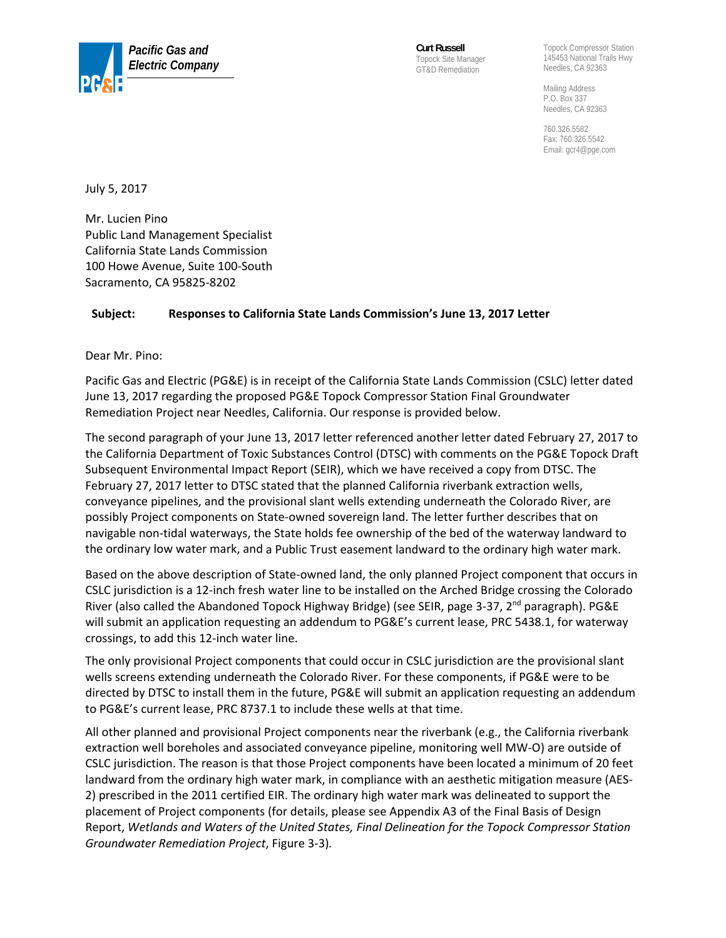

**Curt Russell**  Topock Site Manager GT&D Remediation

Topock Compressor Station 145453 National Trails Hwy Needles, CA 92363

Mailing Address P.O. Box 337 Needles, CA 92363

760.326.5582 Fax: 760.326.5542 Email: gcr4@pge.com

July 5, 2017

Mr. Lucien Pino Public Land Management Specialist California State Lands Commission 100 Howe Avenue, Suite 100‐South Sacramento, CA 95825‐8202

## **Subject: Responses to California State Lands Commission's June 13, 2017 Letter**

Dear Mr. Pino:

Pacific Gas and Electric (PG&E) is in receipt of the California State Lands Commission (CSLC) letter dated June 13, 2017 regarding the proposed PG&E Topock Compressor Station Final Groundwater Remediation Project near Needles, California. Our response is provided below.

The second paragraph of your June 13, 2017 letter referenced another letter dated February 27, 2017 to the California Department of Toxic Substances Control (DTSC) with comments on the PG&E Topock Draft Subsequent Environmental Impact Report (SEIR), which we have received a copy from DTSC. The February 27, 2017 letter to DTSC stated that the planned California riverbank extraction wells, conveyance pipelines, and the provisional slant wells extending underneath the Colorado River, are possibly Project components on State‐owned sovereign land. The letter further describes that on navigable non‐tidal waterways, the State holds fee ownership of the bed of the waterway landward to the ordinary low water mark, and a Public Trust easement landward to the ordinary high water mark.

Based on the above description of State‐owned land, the only planned Project component that occurs in CSLC jurisdiction is a 12‐inch fresh water line to be installed on the Arched Bridge crossing the Colorado River (also called the Abandoned Topock Highway Bridge) (see SEIR, page 3-37, 2<sup>nd</sup> paragraph). PG&E will submit an application requesting an addendum to PG&E's current lease, PRC 5438.1, for waterway crossings, to add this 12‐inch water line.

The only provisional Project components that could occur in CSLC jurisdiction are the provisional slant wells screens extending underneath the Colorado River. For these components, if PG&E were to be directed by DTSC to install them in the future, PG&E will submit an application requesting an addendum to PG&E's current lease, PRC 8737.1 to include these wells at that time.

All other planned and provisional Project components near the riverbank (e.g., the California riverbank extraction well boreholes and associated conveyance pipeline, monitoring well MW‐O) are outside of CSLC jurisdiction. The reason is that those Project components have been located a minimum of 20 feet landward from the ordinary high water mark, in compliance with an aesthetic mitigation measure (AES‐ 2) prescribed in the 2011 certified EIR. The ordinary high water mark was delineated to support the placement of Project components (for details, please see Appendix A3 of the Final Basis of Design Report, *Wetlands and Waters of the United States, Final Delineation for the Topock Compressor Station Groundwater Remediation Project*, Figure 3‐3)*.*